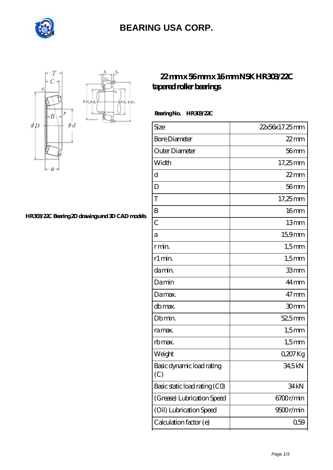

## **[BEARING USA CORP.](https://internationalbonsaiforum.com)**

 $\phi D_h$ 



#### **[HR303/22C Bearing 2D drawings and 3D CAD models](https://internationalbonsaiforum.com/pic-65127508.html)**

### **[22 mm x 56 mm x 16 mm NSK HR303/22C](https://internationalbonsaiforum.com/nsk-hr303-22c-bearing/) [tapered roller bearings](https://internationalbonsaiforum.com/nsk-hr303-22c-bearing/)**

 **Bearing No. HR303/22C**

| Size                             | 22x56x17.25mm    |
|----------------------------------|------------------|
| <b>Bore Diameter</b>             | $22$ mm          |
| Outer Diameter                   | 56 <sub>mm</sub> |
| Width                            | $17,25$ mm       |
| d                                | 22 mm            |
| D                                | $56$ mm          |
| T                                | 17,25mm          |
| B                                | 16 <sub>mm</sub> |
| $\overline{C}$                   | 13mm             |
| а                                | 15,9mm           |
| r min.                           | $1,5$ mm         |
| r1 min.                          | $1,5$ mm         |
| damin.                           | 33mm             |
| Damin                            | 44 <sub>mm</sub> |
| Damax.                           | $47$ mm          |
| db max.                          | 30 <sub>mm</sub> |
| Db min.                          | 52,5mm           |
| ra max.                          | $1,5$ mm         |
| rb max.                          | $1,5$ mm         |
| Weight                           | $0207$ Kg        |
| Basic dynamic load rating<br>(C) | 34,5kN           |
| Basic static load rating (CO)    | 34kN             |
| (Grease) Lubrication Speed       | 6700r/min        |
| (Oil) Lubrication Speed          | 9500r/min        |
| Calculation factor (e)           | 0,59             |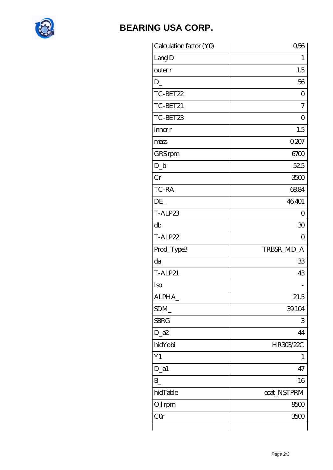

# **[BEARING USA CORP.](https://internationalbonsaiforum.com)**

| Calculation factor (YO) | 0,56        |
|-------------------------|-------------|
| LangID                  | 1           |
| outer r                 | 1.5         |
| $D_{-}$                 | 56          |
| TC-BET22                | O           |
| TC-BET21                | 7           |
| TC-BET23                | 0           |
| inner r                 | 1.5         |
| mass                    | 0.207       |
| GRS rpm                 | 6700        |
| $D_b$                   | 525         |
| Cr                      | 3500        |
| TC-RA                   | 6884        |
| DE                      | 46401       |
| T-ALP23                 | Ο           |
| db                      | 30          |
| T-ALP22                 | 0           |
| Prod_Type3              | TRBSR_MD_A  |
| da                      | 33          |
| <b>T-ALP21</b>          | 43          |
| Iso                     |             |
| ALPHA_                  | 21.5        |
| SDM_                    | 39.104      |
| <b>SBRG</b>             | 3           |
| $D_2a2$                 | 44          |
| hidYobi                 | HR303/22C   |
| Y1                      | 1           |
| $D_a1$                  | 47          |
| $B_{-}$                 | 16          |
| hidTable                | ecat_NSTPRM |
| Oil rpm                 | 9500        |
| CQ                      | 3500        |
|                         |             |